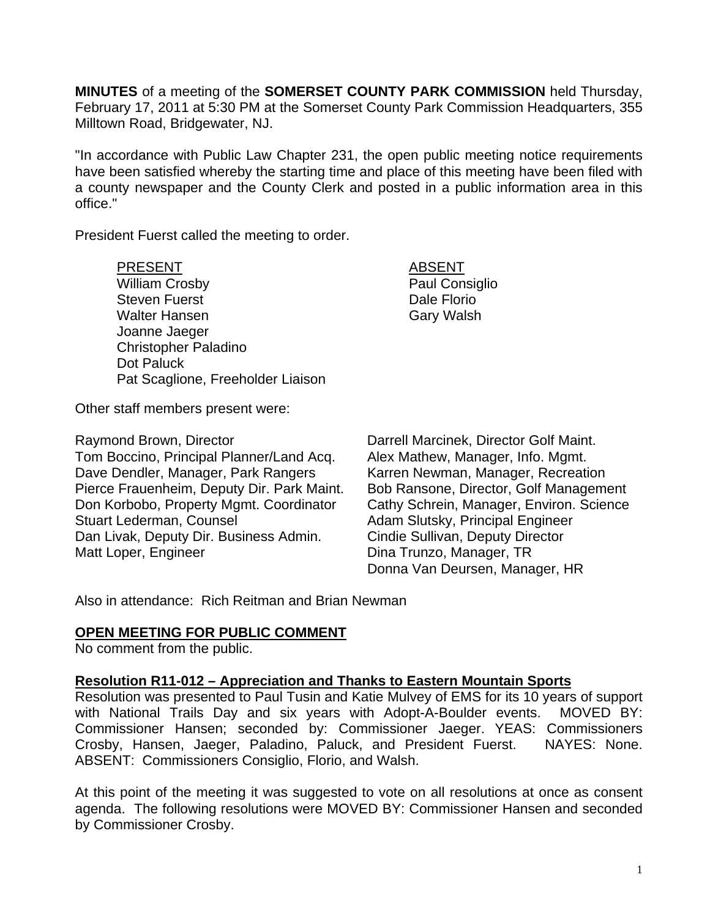**MINUTES** of a meeting of the **SOMERSET COUNTY PARK COMMISSION** held Thursday, February 17, 2011 at 5:30 PM at the Somerset County Park Commission Headquarters, 355 Milltown Road, Bridgewater, NJ.

"In accordance with Public Law Chapter 231, the open public meeting notice requirements have been satisfied whereby the starting time and place of this meeting have been filed with a county newspaper and the County Clerk and posted in a public information area in this office."

President Fuerst called the meeting to order.

PRESENT ABSENT

William Crosby **Paul Consiglio** Steven Fuerst **Dale Florio Dale Florio** Walter Hansen Gary Walsh Joanne Jaeger Christopher Paladino Dot Paluck Pat Scaglione, Freeholder Liaison

Other staff members present were:

Raymond Brown, Director **National Example 20** Darrell Marcinek, Director Golf Maint. Tom Boccino, Principal Planner/Land Acq. Alex Mathew, Manager, Info. Mgmt. Dave Dendler, Manager, Park Rangers Karren Newman, Manager, Recreation Pierce Frauenheim, Deputy Dir. Park Maint. Bob Ransone, Director, Golf Management Don Korbobo, Property Mgmt. Coordinator Cathy Schrein, Manager, Environ. Science Stuart Lederman, Counsel **Adam Slutsky**, Principal Engineer Dan Livak, Deputy Dir. Business Admin. Cindie Sullivan, Deputy Director Matt Loper, Engineer **Dina Trunzo**, Manager, TR

Donna Van Deursen, Manager, HR

Also in attendance: Rich Reitman and Brian Newman

# **OPEN MEETING FOR PUBLIC COMMENT**

No comment from the public.

### **Resolution R11-012 – Appreciation and Thanks to Eastern Mountain Sports**

Resolution was presented to Paul Tusin and Katie Mulvey of EMS for its 10 years of support with National Trails Day and six years with Adopt-A-Boulder events. MOVED BY: Commissioner Hansen; seconded by: Commissioner Jaeger. YEAS: Commissioners Crosby, Hansen, Jaeger, Paladino, Paluck, and President Fuerst. NAYES: None. ABSENT: Commissioners Consiglio, Florio, and Walsh.

At this point of the meeting it was suggested to vote on all resolutions at once as consent agenda. The following resolutions were MOVED BY: Commissioner Hansen and seconded by Commissioner Crosby.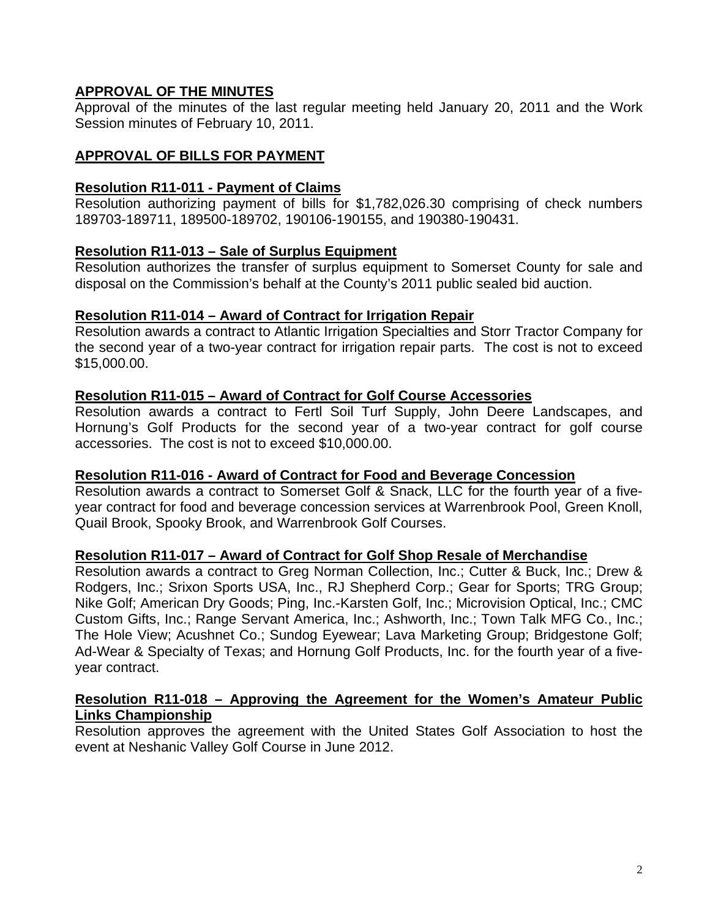# **APPROVAL OF THE MINUTES**

Approval of the minutes of the last regular meeting held January 20, 2011 and the Work Session minutes of February 10, 2011.

# **APPROVAL OF BILLS FOR PAYMENT**

## **Resolution R11-011 - Payment of Claims**

Resolution authorizing payment of bills for \$1,782,026.30 comprising of check numbers 189703-189711, 189500-189702, 190106-190155, and 190380-190431.

# **Resolution R11-013 – Sale of Surplus Equipment**

Resolution authorizes the transfer of surplus equipment to Somerset County for sale and disposal on the Commission's behalf at the County's 2011 public sealed bid auction.

### **Resolution R11-014 – Award of Contract for Irrigation Repair**

Resolution awards a contract to Atlantic Irrigation Specialties and Storr Tractor Company for the second year of a two-year contract for irrigation repair parts. The cost is not to exceed \$15,000.00.

## **Resolution R11-015 – Award of Contract for Golf Course Accessories**

Resolution awards a contract to Fertl Soil Turf Supply, John Deere Landscapes, and Hornung's Golf Products for the second year of a two-year contract for golf course accessories. The cost is not to exceed \$10,000.00.

### **Resolution R11-016 - Award of Contract for Food and Beverage Concession**

Resolution awards a contract to Somerset Golf & Snack, LLC for the fourth year of a fiveyear contract for food and beverage concession services at Warrenbrook Pool, Green Knoll, Quail Brook, Spooky Brook, and Warrenbrook Golf Courses.

### **Resolution R11-017 – Award of Contract for Golf Shop Resale of Merchandise**

Resolution awards a contract to Greg Norman Collection, Inc.; Cutter & Buck, Inc.; Drew & Rodgers, Inc.; Srixon Sports USA, Inc., RJ Shepherd Corp.; Gear for Sports; TRG Group; Nike Golf; American Dry Goods; Ping, Inc.-Karsten Golf, Inc.; Microvision Optical, Inc.; CMC Custom Gifts, Inc.; Range Servant America, Inc.; Ashworth, Inc.; Town Talk MFG Co., Inc.; The Hole View; Acushnet Co.; Sundog Eyewear; Lava Marketing Group; Bridgestone Golf; Ad-Wear & Specialty of Texas; and Hornung Golf Products, Inc. for the fourth year of a fiveyear contract.

### **Resolution R11-018 – Approving the Agreement for the Women's Amateur Public Links Championship**

Resolution approves the agreement with the United States Golf Association to host the event at Neshanic Valley Golf Course in June 2012.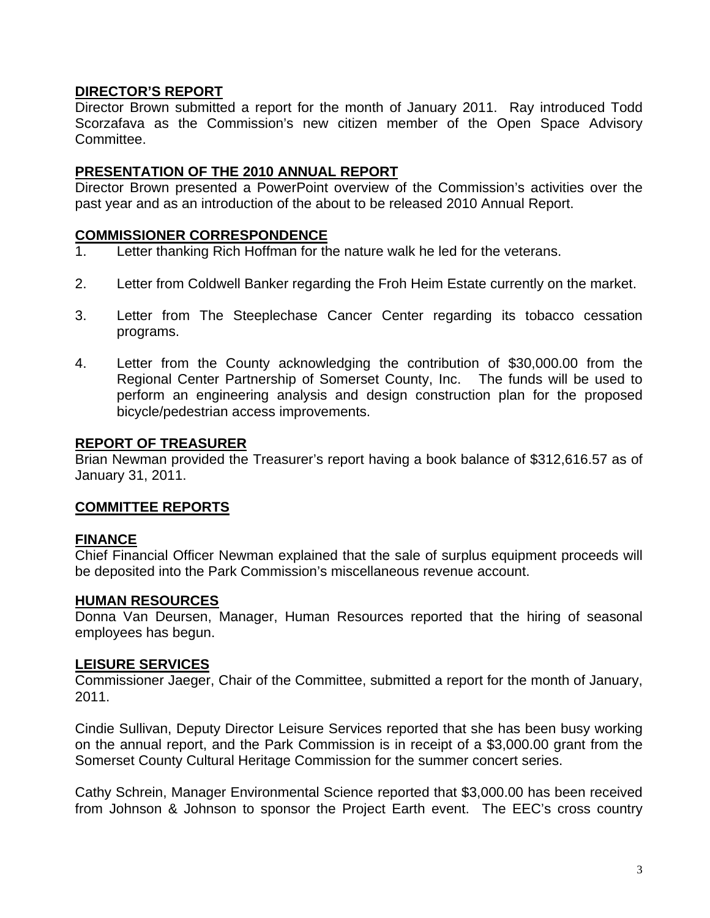## **DIRECTOR'S REPORT**

Director Brown submitted a report for the month of January 2011. Ray introduced Todd Scorzafava as the Commission's new citizen member of the Open Space Advisory Committee.

### **PRESENTATION OF THE 2010 ANNUAL REPORT**

Director Brown presented a PowerPoint overview of the Commission's activities over the past year and as an introduction of the about to be released 2010 Annual Report.

### **COMMISSIONER CORRESPONDENCE**

- 1. Letter thanking Rich Hoffman for the nature walk he led for the veterans.
- 2. Letter from Coldwell Banker regarding the Froh Heim Estate currently on the market.
- 3. Letter from The Steeplechase Cancer Center regarding its tobacco cessation programs.
- 4. Letter from the County acknowledging the contribution of \$30,000.00 from the Regional Center Partnership of Somerset County, Inc. The funds will be used to perform an engineering analysis and design construction plan for the proposed bicycle/pedestrian access improvements.

#### **REPORT OF TREASURER**

Brian Newman provided the Treasurer's report having a book balance of \$312,616.57 as of January 31, 2011.

### **COMMITTEE REPORTS**

### **FINANCE**

Chief Financial Officer Newman explained that the sale of surplus equipment proceeds will be deposited into the Park Commission's miscellaneous revenue account.

### **HUMAN RESOURCES**

Donna Van Deursen, Manager, Human Resources reported that the hiring of seasonal employees has begun.

### **LEISURE SERVICES**

Commissioner Jaeger, Chair of the Committee, submitted a report for the month of January, 2011.

Cindie Sullivan, Deputy Director Leisure Services reported that she has been busy working on the annual report, and the Park Commission is in receipt of a \$3,000.00 grant from the Somerset County Cultural Heritage Commission for the summer concert series.

Cathy Schrein, Manager Environmental Science reported that \$3,000.00 has been received from Johnson & Johnson to sponsor the Project Earth event. The EEC's cross country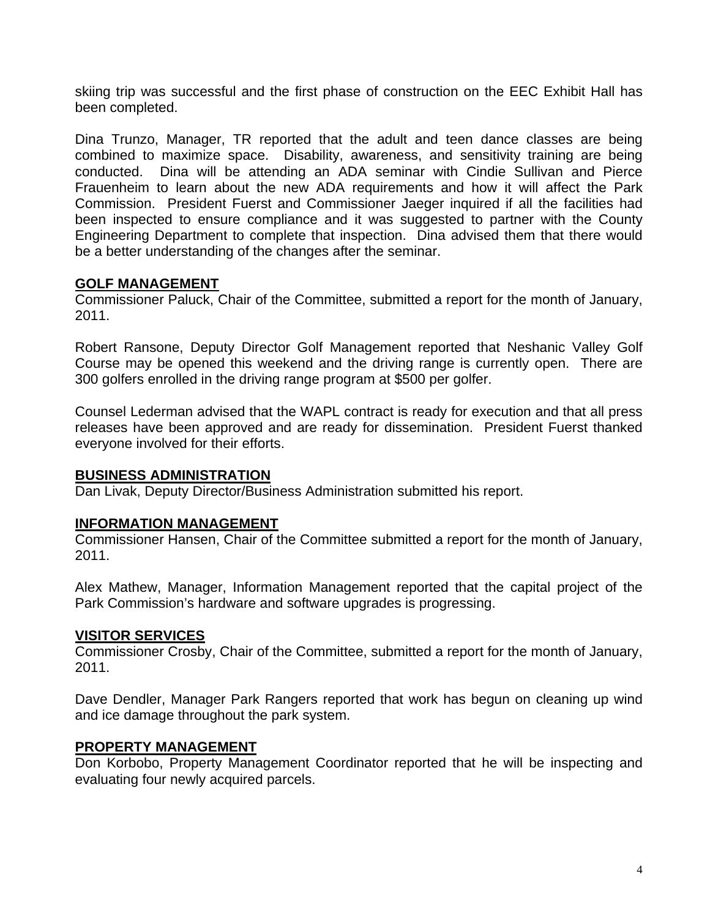skiing trip was successful and the first phase of construction on the EEC Exhibit Hall has been completed.

Dina Trunzo, Manager, TR reported that the adult and teen dance classes are being combined to maximize space. Disability, awareness, and sensitivity training are being conducted. Dina will be attending an ADA seminar with Cindie Sullivan and Pierce Frauenheim to learn about the new ADA requirements and how it will affect the Park Commission. President Fuerst and Commissioner Jaeger inquired if all the facilities had been inspected to ensure compliance and it was suggested to partner with the County Engineering Department to complete that inspection. Dina advised them that there would be a better understanding of the changes after the seminar.

## **GOLF MANAGEMENT**

Commissioner Paluck, Chair of the Committee, submitted a report for the month of January, 2011.

Robert Ransone, Deputy Director Golf Management reported that Neshanic Valley Golf Course may be opened this weekend and the driving range is currently open. There are 300 golfers enrolled in the driving range program at \$500 per golfer.

Counsel Lederman advised that the WAPL contract is ready for execution and that all press releases have been approved and are ready for dissemination. President Fuerst thanked everyone involved for their efforts.

### **BUSINESS ADMINISTRATION**

Dan Livak, Deputy Director/Business Administration submitted his report.

### **INFORMATION MANAGEMENT**

Commissioner Hansen, Chair of the Committee submitted a report for the month of January, 2011.

Alex Mathew, Manager, Information Management reported that the capital project of the Park Commission's hardware and software upgrades is progressing.

### **VISITOR SERVICES**

Commissioner Crosby, Chair of the Committee, submitted a report for the month of January, 2011.

Dave Dendler, Manager Park Rangers reported that work has begun on cleaning up wind and ice damage throughout the park system.

### **PROPERTY MANAGEMENT**

Don Korbobo, Property Management Coordinator reported that he will be inspecting and evaluating four newly acquired parcels.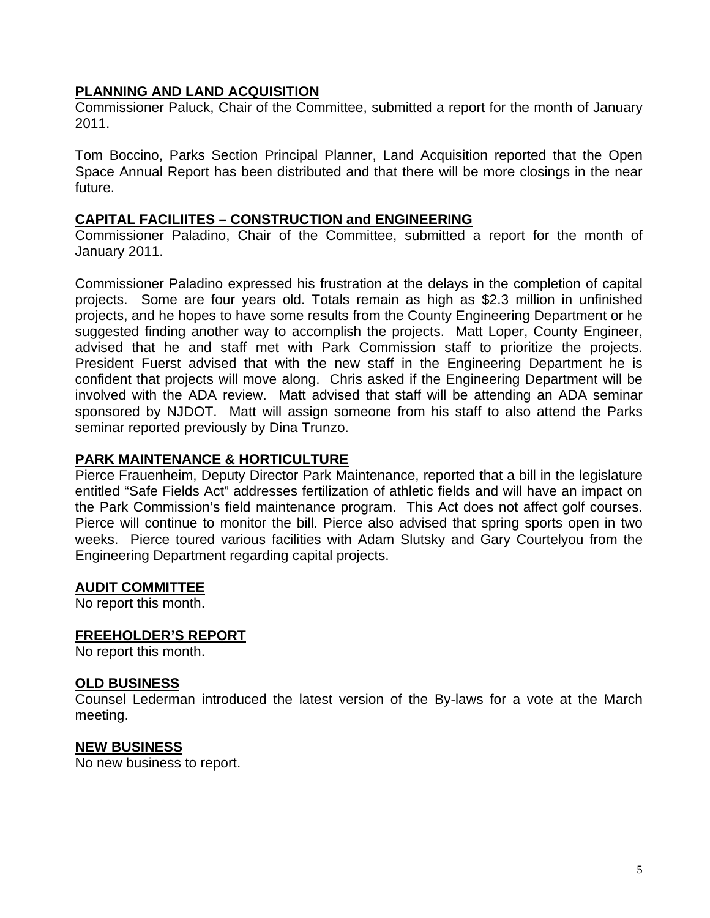### **PLANNING AND LAND ACQUISITION**

Commissioner Paluck, Chair of the Committee, submitted a report for the month of January 2011.

Tom Boccino, Parks Section Principal Planner, Land Acquisition reported that the Open Space Annual Report has been distributed and that there will be more closings in the near future.

#### **CAPITAL FACILIITES – CONSTRUCTION and ENGINEERING**

Commissioner Paladino, Chair of the Committee, submitted a report for the month of January 2011.

Commissioner Paladino expressed his frustration at the delays in the completion of capital projects. Some are four years old. Totals remain as high as \$2.3 million in unfinished projects, and he hopes to have some results from the County Engineering Department or he suggested finding another way to accomplish the projects. Matt Loper, County Engineer, advised that he and staff met with Park Commission staff to prioritize the projects. President Fuerst advised that with the new staff in the Engineering Department he is confident that projects will move along. Chris asked if the Engineering Department will be involved with the ADA review. Matt advised that staff will be attending an ADA seminar sponsored by NJDOT. Matt will assign someone from his staff to also attend the Parks seminar reported previously by Dina Trunzo.

### **PARK MAINTENANCE & HORTICULTURE**

Pierce Frauenheim, Deputy Director Park Maintenance, reported that a bill in the legislature entitled "Safe Fields Act" addresses fertilization of athletic fields and will have an impact on the Park Commission's field maintenance program. This Act does not affect golf courses. Pierce will continue to monitor the bill. Pierce also advised that spring sports open in two weeks. Pierce toured various facilities with Adam Slutsky and Gary Courtelyou from the Engineering Department regarding capital projects.

#### **AUDIT COMMITTEE**

No report this month.

#### **FREEHOLDER'S REPORT**

No report this month.

#### **OLD BUSINESS**

Counsel Lederman introduced the latest version of the By-laws for a vote at the March meeting.

#### **NEW BUSINESS**

No new business to report.